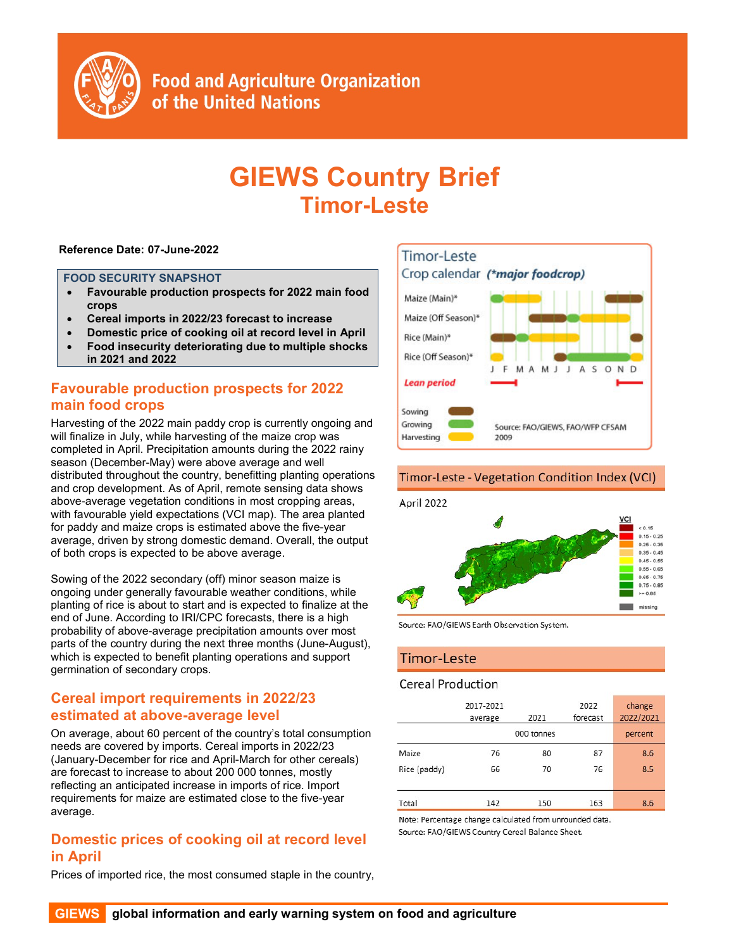

# GIEWS Country Brief **Timor-Leste**

#### Reference Date: 07-June-2022

#### FOOD SECURITY SNAPSHOT

- Favourable production prospects for 2022 main food crops
- Cereal imports in 2022/23 forecast to increase
- Domestic price of cooking oil at record level in April
- Food insecurity deteriorating due to multiple shocks in 2021 and 2022

## Favourable production prospects for 2022 main food crops

Harvesting of the 2022 main paddy crop is currently ongoing and will finalize in July, while harvesting of the maize crop was completed in April. Precipitation amounts during the 2022 rainy season (December-May) were above average and well distributed throughout the country, benefitting planting operations and crop development. As of April, remote sensing data shows above-average vegetation conditions in most cropping areas, with favourable yield expectations (VCI map). The area planted for paddy and maize crops is estimated above the five-year average, driven by strong domestic demand. Overall, the output of both crops is expected to be above average.

Sowing of the 2022 secondary (off) minor season maize is ongoing under generally favourable weather conditions, while planting of rice is about to start and is expected to finalize at the end of June. According to IRI/CPC forecasts, there is a high probability of above-average precipitation amounts over most parts of the country during the next three months (June-August), which is expected to benefit planting operations and support germination of secondary crops.

## Cereal import requirements in 2022/23 estimated at above-average level

On average, about 60 percent of the country's total consumption needs are covered by imports. Cereal imports in 2022/23 (January-December for rice and April-March for other cereals) are forecast to increase to about 200 000 tonnes, mostly reflecting an anticipated increase in imports of rice. Import requirements for maize are estimated close to the five-year average.

# Domestic prices of cooking oil at record level in April

Prices of imported rice, the most consumed staple in the country,



#### Timor-Leste - Vegetation Condition Index (VCI)



Source: FAO/GIEWS Earth Observation System.

## Timor-Leste

#### **Cereal Production**

|              | 2017-2021<br>average | 2021       | 2022<br>forecast | change<br>2022/2021 |
|--------------|----------------------|------------|------------------|---------------------|
|              |                      | 000 tonnes |                  | percent             |
| Maize        | 76                   | 80         | 87               | 8.6                 |
| Rice (paddy) | 66                   | 70         | 76               | 8.5                 |
|              |                      |            |                  |                     |
| Total        | 142                  | 150        | 163              | 8.6                 |

Note: Percentage change calculated from unrounded data. Source: FAO/GIEWS Country Cereal Balance Sheet.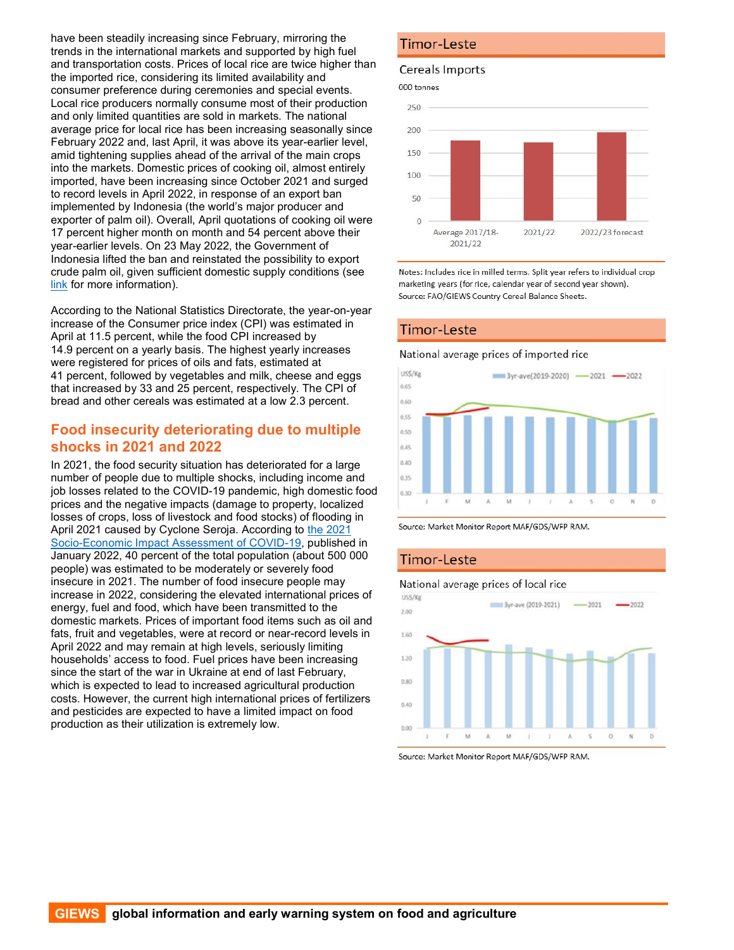have been steadily increasing since February, mirroring the trends in the international markets and supported by high fuel and transportation costs. Prices of local rice are twice higher than the imported rice, considering its limited availability and consumer preference during ceremonies and special events. Local rice producers normally consume most of their production and only limited quantities are sold in markets. The national average price for local rice has been increasing seasonally since February 2022 and, last April, it was above its year-earlier level, amid tightening supplies ahead of the arrival of the main crops into the markets. Domestic prices of cooking oil, almost entirely imported, have been increasing since October 2021 and surged to record levels in April 2022, in response of an export ban implemented by Indonesia (the world's major producer and exporter of palm oil). Overall, April quotations of cooking oil were 17 percent higher month on month and 54 percent above their year-earlier levels. On 23 May 2022, the Government of Indonesia lifted the ban and reinstated the possibility to export crude palm oil, given sufficient domestic supply conditions (see link for more information).

According to the National Statistics Directorate, the year-on-year increase of the Consumer price index (CPI) was estimated in April at 11.5 percent, while the food CPI increased by 14.9 percent on a yearly basis. The highest yearly increases were registered for prices of oils and fats, estimated at 41 percent, followed by vegetables and milk, cheese and eggs that increased by 33 and 25 percent, respectively. The CPI of bread and other cereals was estimated at a low 2.3 percent.

#### Food insecurity deteriorating due to multiple shocks in 2021 and 2022

In 2021, the food security situation has deteriorated for a large number of people due to multiple shocks, including income and job losses related to the COVID-19 pandemic, high domestic food prices and the negative impacts (damage to property, localized losses of crops, loss of livestock and food stocks) of flooding in April 2021 caused by Cyclone Seroja. According to the 2021 Socio-Economic Impact Assessment of COVID-19, published in January 2022, 40 percent of the total population (about 500 000 people) was estimated to be moderately or severely food insecure in 2021. The number of food insecure people may increase in 2022, considering the elevated international prices of energy, fuel and food, which have been transmitted to the domestic markets. Prices of important food items such as oil and fats, fruit and vegetables, were at record or near-record levels in April 2022 and may remain at high levels, seriously limiting households' access to food. Fuel prices have been increasing since the start of the war in Ukraine at end of last February, which is expected to lead to increased agricultural production costs. However, the current high international prices of fertilizers and pesticides are expected to have a limited impact on food production as their utilization is extremely low.

# **Timor-Leste**

#### Cereals Imports

000 tonnes



Notes: Includes rice in milled terms. Split year refers to individual crop marketing years (for rice, calendar year of second year shown). Source: FAO/GIEWS Country Cereal Balance Sheets.

## **Timor-Leste**

#### National average prices of imported rice



Source: Market Monitor Report MAF/GDS/WFP RAM.

## **Timor-Leste**

National average prices of local rice



Source: Market Monitor Report MAF/GDS/WFP RAM.